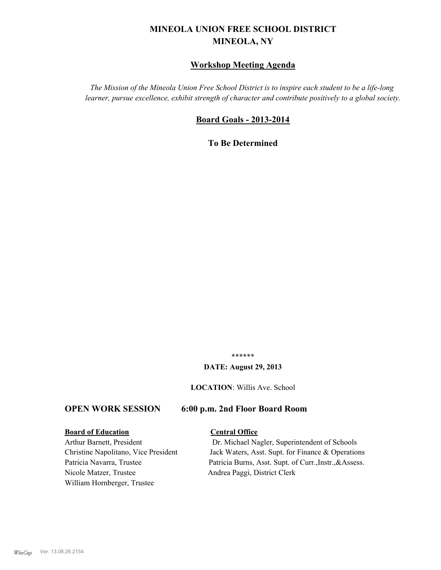# **MINEOLA UNION FREE SCHOOL DISTRICT MINEOLA, NY**

#### **Workshop Meeting Agenda**

*The Mission of the Mineola Union Free School District is to inspire each student to be a life-long learner, pursue excellence, exhibit strength of character and contribute positively to a global society.*

#### **Board Goals - 2013-2014**

**To Be Determined**

\*\*\*\*\*\*

#### **DATE: August 29, 2013**

**LOCATION**: Willis Ave. School

#### **OPEN WORK SESSION 6:00 p.m. 2nd Floor Board Room**

#### **Board of Education Central Office**

Nicole Matzer, Trustee Andrea Paggi, District Clerk William Hornberger, Trustee

Arthur Barnett, President Dr. Michael Nagler, Superintendent of Schools Christine Napolitano, Vice President Jack Waters, Asst. Supt. for Finance & Operations Patricia Navarra, Trustee Patricia Burns, Asst. Supt. of Curr., Instr., &Assess.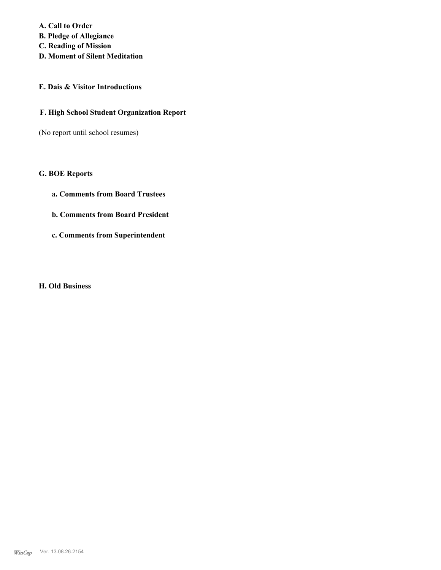**A. Call to Order B. Pledge of Allegiance C. Reading of Mission D. Moment of Silent Meditation**

### **E. Dais & Visitor Introductions**

#### **F. High School Student Organization Report**

(No report until school resumes)

#### **G. BOE Reports**

- **a. Comments from Board Trustees**
- **b. Comments from Board President**
- **c. Comments from Superintendent**

#### **H. Old Business**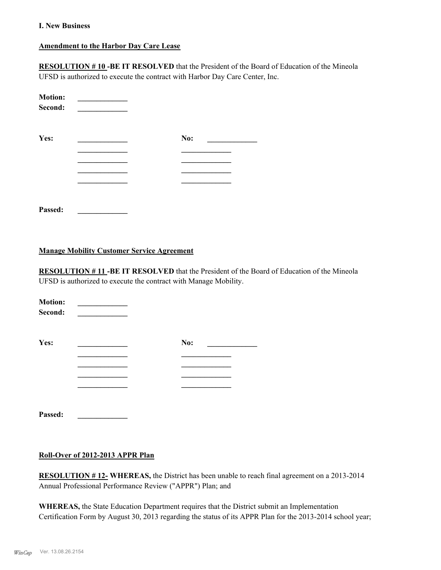#### **I. New Business**

#### **Amendment to the Harbor Day Care Lease**

**RESOLUTION # 10 -BE IT RESOLVED** that the President of the Board of Education of the Mineola UFSD is authorized to execute the contract with Harbor Day Care Center, Inc.

| <b>Motion:</b><br>Second: |     |
|---------------------------|-----|
| Yes:                      | No: |
|                           |     |
|                           |     |
|                           |     |
| Passed:                   |     |

#### **Manage Mobility Customer Service Agreement**

**RESOLUTION # 11 -BE IT RESOLVED** that the President of the Board of Education of the Mineola UFSD is authorized to execute the contract with Manage Mobility.

| <b>Motion:</b><br>Second: |     |  |
|---------------------------|-----|--|
| Yes:                      | No: |  |
|                           |     |  |
|                           |     |  |
|                           |     |  |
|                           |     |  |
|                           |     |  |

**Passed: \_\_\_\_\_\_\_\_\_\_\_\_\_**

### **Roll-Over of 2012-2013 APPR Plan**

**RESOLUTION # 12- WHEREAS,** the District has been unable to reach final agreement on a 2013-2014 Annual Professional Performance Review ("APPR") Plan; and

**WHEREAS,** the State Education Department requires that the District submit an Implementation Certification Form by August 30, 2013 regarding the status of its APPR Plan for the 2013-2014 school year;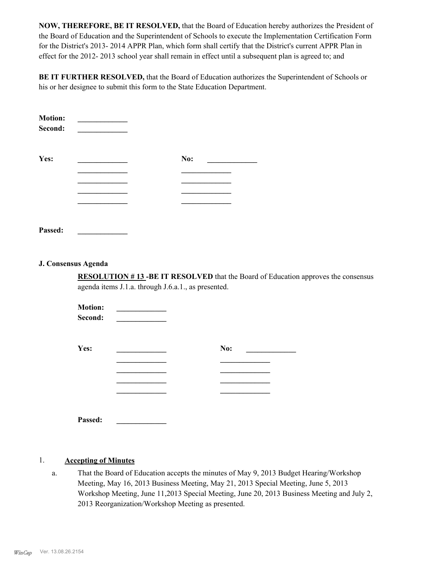**NOW, THEREFORE, BE IT RESOLVED,** that the Board of Education hereby authorizes the President of the Board of Education and the Superintendent of Schools to execute the Implementation Certification Form for the District's 2013- 2014 APPR Plan, which form shall certify that the District's current APPR Plan in effect for the 2012- 2013 school year shall remain in effect until a subsequent plan is agreed to; and

**BE IT FURTHER RESOLVED,** that the Board of Education authorizes the Superintendent of Schools or his or her designee to submit this form to the State Education Department.

| <b>Motion:</b><br>Second: |     |
|---------------------------|-----|
| Yes:                      | No: |
|                           |     |
|                           |     |
|                           |     |
|                           |     |
|                           |     |
|                           |     |

**Passed: \_\_\_\_\_\_\_\_\_\_\_\_\_**

#### **J. Consensus Agenda**

**RESOLUTION # 13 -BE IT RESOLVED** that the Board of Education approves the consensus agenda items J.1.a. through J.6.a.1., as presented.

| <b>Motion:</b><br>Second: |     |
|---------------------------|-----|
| Yes:                      | No: |
|                           |     |
|                           |     |
|                           |     |
|                           |     |
|                           |     |

#### 1. **Accepting of Minutes**

**Passed: \_\_\_\_\_\_\_\_\_\_\_\_\_**

That the Board of Education accepts the minutes of May 9, 2013 Budget Hearing/Workshop Meeting, May 16, 2013 Business Meeting, May 21, 2013 Special Meeting, June 5, 2013 Workshop Meeting, June 11,2013 Special Meeting, June 20, 2013 Business Meeting and July 2, 2013 Reorganization/Workshop Meeting as presented. a.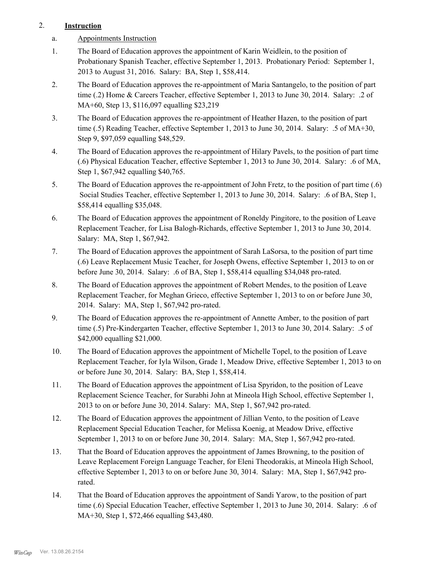## 2. **Instruction**

- a. Appointments Instruction
- The Board of Education approves the appointment of Karin Weidlein, to the position of Probationary Spanish Teacher, effective September 1, 2013. Probationary Period: September 1, 2013 to August 31, 2016. Salary: BA, Step 1, \$58,414. 1.
- The Board of Education approves the re-appointment of Maria Santangelo, to the position of part time (.2) Home & Careers Teacher, effective September 1, 2013 to June 30, 2014. Salary: .2 of MA+60, Step 13, \$116,097 equalling \$23,219 2.
- The Board of Education approves the re-appointment of Heather Hazen, to the position of part time (.5) Reading Teacher, effective September 1, 2013 to June 30, 2014. Salary: .5 of MA+30, Step 9, \$97,059 equalling \$48,529. 3.
- The Board of Education approves the re-appointment of Hilary Pavels, to the position of part time (.6) Physical Education Teacher, effective September 1, 2013 to June 30, 2014. Salary: .6 of MA, Step 1, \$67,942 equalling \$40,765. 4.
- The Board of Education approves the re-appointment of John Fretz, to the position of part time (.6) Social Studies Teacher, effective September 1, 2013 to June 30, 2014. Salary: .6 of BA, Step 1, \$58,414 equalling \$35,048. 5.
- The Board of Education approves the appointment of Roneldy Pingitore, to the position of Leave Replacement Teacher, for Lisa Balogh-Richards, effective September 1, 2013 to June 30, 2014. Salary: MA, Step 1, \$67,942. 6.
- The Board of Education approves the appointment of Sarah LaSorsa, to the position of part time (.6) Leave Replacement Music Teacher, for Joseph Owens, effective September 1, 2013 to on or before June 30, 2014. Salary: .6 of BA, Step 1, \$58,414 equalling \$34,048 pro-rated. 7.
- The Board of Education approves the appointment of Robert Mendes, to the position of Leave Replacement Teacher, for Meghan Grieco, effective September 1, 2013 to on or before June 30, 2014. Salary: MA, Step 1, \$67,942 pro-rated. 8.
- The Board of Education approves the re-appointment of Annette Amber, to the position of part time (.5) Pre-Kindergarten Teacher, effective September 1, 2013 to June 30, 2014. Salary: .5 of \$42,000 equalling \$21,000. 9.
- The Board of Education approves the appointment of Michelle Topel, to the position of Leave Replacement Teacher, for Iyla Wilson, Grade 1, Meadow Drive, effective September 1, 2013 to on or before June 30, 2014. Salary: BA, Step 1, \$58,414. 10.
- The Board of Education approves the appointment of Lisa Spyridon, to the position of Leave Replacement Science Teacher, for Surabhi John at Mineola High School, effective September 1, 2013 to on or before June 30, 2014. Salary: MA, Step 1, \$67,942 pro-rated. 11.
- The Board of Education approves the appointment of Jillian Vento, to the position of Leave Replacement Special Education Teacher, for Melissa Koenig, at Meadow Drive, effective September 1, 2013 to on or before June 30, 2014. Salary: MA, Step 1, \$67,942 pro-rated. 12.
- That the Board of Education approves the appointment of James Browning, to the position of Leave Replacement Foreign Language Teacher, for Eleni Theodorakis, at Mineola High School, effective September 1, 2013 to on or before June 30, 3014. Salary: MA, Step 1, \$67,942 prorated. 13.
- That the Board of Education approves the appointment of Sandi Yarow, to the position of part time (.6) Special Education Teacher, effective September 1, 2013 to June 30, 2014. Salary: .6 of MA+30, Step 1, \$72,466 equalling \$43,480. 14.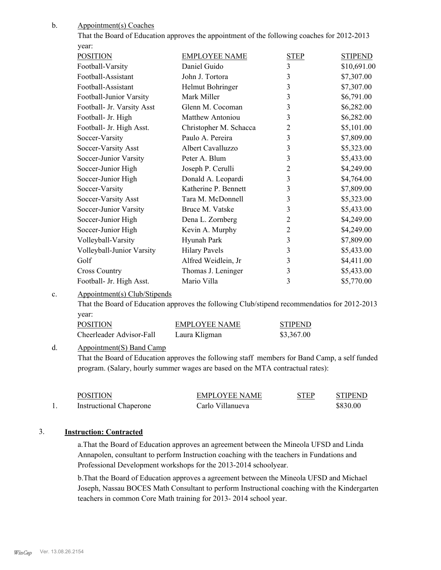Appointment(s) Coaches b.

| That the Board of Education approves the appointment of the following coaches for 2012-2013 |  |
|---------------------------------------------------------------------------------------------|--|
| vear:                                                                                       |  |

| <b>POSITION</b>            | <b>EMPLOYEE NAME</b>    | <b>STEP</b>    | <b>STIPEND</b> |
|----------------------------|-------------------------|----------------|----------------|
| Football-Varsity           | Daniel Guido            | $\overline{3}$ | \$10,691.00    |
| Football-Assistant         | John J. Tortora         | 3              | \$7,307.00     |
| Football-Assistant         | Helmut Bohringer        | 3              | \$7,307.00     |
| Football-Junior Varsity    | Mark Miller             | 3              | \$6,791.00     |
| Football- Jr. Varsity Asst | Glenn M. Cocoman        | 3              | \$6,282.00     |
| Football- Jr. High         | <b>Matthew Antoniou</b> | 3              | \$6,282.00     |
| Football- Jr. High Asst.   | Christopher M. Schacca  | 2              | \$5,101.00     |
| Soccer-Varsity             | Paulo A. Pereira        | 3              | \$7,809.00     |
| Soccer-Varsity Asst        | Albert Cavalluzzo       | 3              | \$5,323.00     |
| Soccer-Junior Varsity      | Peter A. Blum           | 3              | \$5,433.00     |
| Soccer-Junior High         | Joseph P. Cerulli       | $\overline{2}$ | \$4,249.00     |
| Soccer-Junior High         | Donald A. Leopardi      | 3              | \$4,764.00     |
| Soccer-Varsity             | Katherine P. Bennett    | 3              | \$7,809.00     |
| Soccer-Varsity Asst        | Tara M. McDonnell       | 3              | \$5,323.00     |
| Soccer-Junior Varsity      | Bruce M. Vatske         | 3              | \$5,433.00     |
| Soccer-Junior High         | Dena L. Zornberg        | $\overline{c}$ | \$4,249.00     |
| Soccer-Junior High         | Kevin A. Murphy         | $\overline{2}$ | \$4,249.00     |
| Volleyball-Varsity         | Hyunah Park             | 3              | \$7,809.00     |
| Volleyball-Junior Varsity  | <b>Hilary Pavels</b>    | 3              | \$5,433.00     |
| Golf                       | Alfred Weidlein, Jr     | 3              | \$4,411.00     |
| <b>Cross Country</b>       | Thomas J. Leninger      | 3              | \$5,433.00     |
| Football- Jr. High Asst.   | Mario Villa             | 3              | \$5,770.00     |
|                            |                         |                |                |

#### Appointment(s) Club/Stipends c.

That the Board of Education approves the following Club/stipend recommendatios for 2012-2013 year:

| <b>POSITION</b>          | EMPLOYEE NAME | <b>STIPEND</b> |
|--------------------------|---------------|----------------|
| Cheerleader Advisor-Fall | Laura Kligman | \$3,367.00     |

#### Appointment(S) Band Camp d.

That the Board of Education approves the following staff members for Band Camp, a self funded program. (Salary, hourly summer wages are based on the MTA contractual rates):

|     | <b>POSITION</b>                | <b>EMPLOYEE NAME</b> | <b>STEP</b> | <b>STIPEND</b> |
|-----|--------------------------------|----------------------|-------------|----------------|
| . . | <b>Instructional Chaperone</b> | Carlo Villanueva     |             | \$830.00       |

#### 3. **Instruction: Contracted**

a.That the Board of Education approves an agreement between the Mineola UFSD and Linda Annapolen, consultant to perform Instruction coaching with the teachers in Fundations and Professional Development workshops for the 2013-2014 schoolyear.

b.That the Board of Education approves a agreement between the Mineola UFSD and Michael Joseph, Nassau BOCES Math Consultant to perform Instructional coaching with the Kindergarten teachers in common Core Math training for 2013- 2014 school year.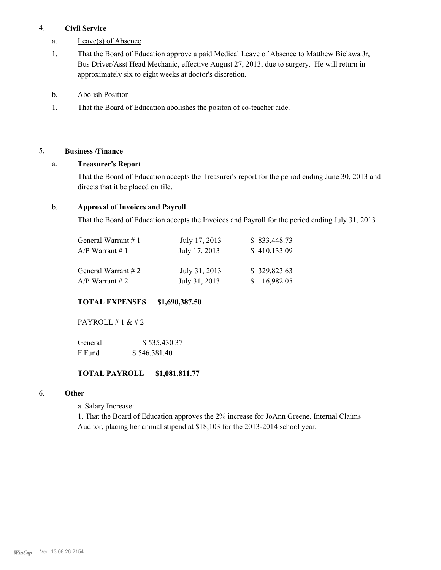#### 4. **Civil Service**

- a. Leave(s) of Absence
- That the Board of Education approve a paid Medical Leave of Absence to Matthew Bielawa Jr, Bus Driver/Asst Head Mechanic, effective August 27, 2013, due to surgery. He will return in approximately six to eight weeks at doctor's discretion. 1.
- b. Abolish Position
- 1. That the Board of Education abolishes the positon of co-teacher aide.

# 5. **Business /Finance**

## a. **Treasurer's Report**

That the Board of Education accepts the Treasurer's report for the period ending June 30, 2013 and directs that it be placed on file.

#### b. **Approval of Invoices and Payroll**

That the Board of Education accepts the Invoices and Payroll for the period ending July 31, 2013

| General Warrant #1 | July 17, 2013 | \$833,448.73 |
|--------------------|---------------|--------------|
| A/P Warrant #1     | July 17, 2013 | \$410,133.09 |
| General Warrant #2 | July 31, 2013 | \$329,823.63 |
| A/P Warrant # 2    | July 31, 2013 | \$116,982.05 |

## **TOTAL EXPENSES \$1,690,387.50**

PAYROLL  $\#$  1 &  $\#$  2

| General | \$535,430.37 |
|---------|--------------|
| F Fund  | \$546,381.40 |

#### **TOTAL PAYROLL \$1,081,811.77**

#### 6. **Other**

a. Salary Increase:

1. That the Board of Education approves the 2% increase for JoAnn Greene, Internal Claims Auditor, placing her annual stipend at \$18,103 for the 2013-2014 school year.